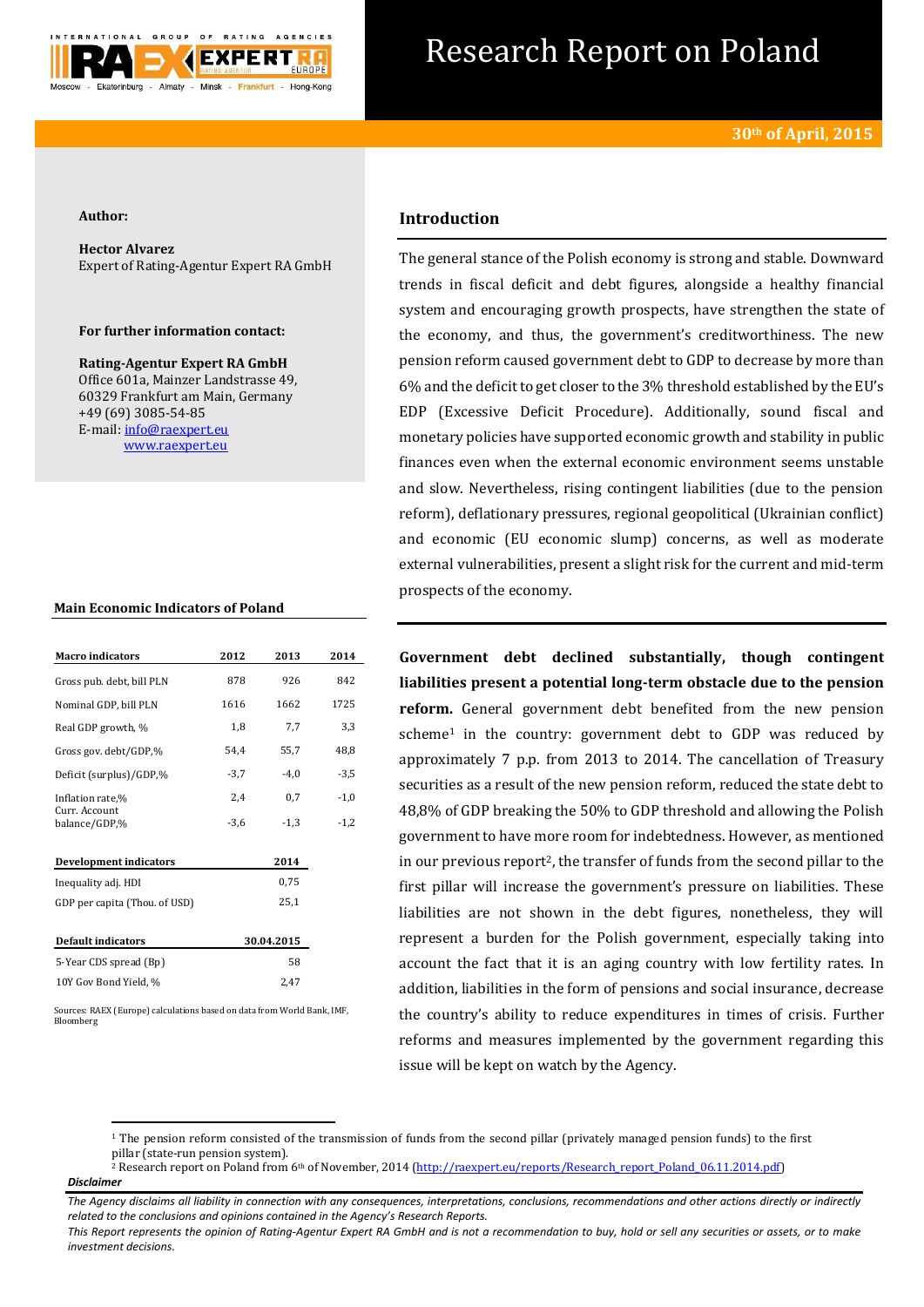

# Research Report on Poland

#### **Author:**

**Hector Alvarez** Expert of Rating-Agentur Expert RA GmbH

## **For further information contact:**

**Rating-Agentur Expert RA GmbH** Office 601a, Mainzer Landstrasse 49, 60329 Frankfurt am Main, Germany +49 (69) 3085-54-85 E-mail[: info@raexpert.eu](mailto:info@raexpert.eu) [www.raexpert.eu](http://raexpert.eu/)

#### **Main Economic Indicators of Poland**

| <b>Macro</b> indicators        | 2012   | 2013       | 2014   |
|--------------------------------|--------|------------|--------|
| Gross pub. debt, bill PLN      | 878    | 926        | 842    |
| Nominal GDP, bill PLN          | 1616   | 1662       | 1725   |
| Real GDP growth, %             | 1,8    | 7,7        | 3,3    |
| Gross gov. debt/GDP,%          | 54,4   | 55,7       | 48,8   |
| Deficit (surplus)/GDP,%        | $-3,7$ | $-4,0$     | $-3,5$ |
| Inflation rate,%               | 2,4    | 0,7        | $-1,0$ |
| Curr. Account<br>balance/GDP,% | $-3,6$ | $-1,3$     | $-1,2$ |
| <b>Development indicators</b>  |        | 2014       |        |
| Inequality adj. HDI            |        | 0.75       |        |
| GDP per capita (Thou. of USD)  |        | 25,1       |        |
| <b>Default indicators</b>      |        | 30.04.2015 |        |
| 5-Year CDS spread (Bp)         |        | 58         |        |
| 10Y Gov Bond Yield, %          |        | 2,47       |        |

ources: RAEX (Europe) calculations based on data from World Bank, IMF, Bloomberg

**.** 

# **Introduction**

The general stance of the Polish economy is strong and stable. Downward trends in fiscal deficit and debt figures, alongside a healthy financial system and encouraging growth prospects, have strengthen the state of the economy, and thus, the government's creditworthiness. The new pension reform caused government debt to GDP to decrease by more than 6% and the deficit to get closer to the 3% threshold established by the EU's EDP (Excessive Deficit Procedure). Additionally, sound fiscal and monetary policies have supported economic growth and stability in public finances even when the external economic environment seems unstable and slow. Nevertheless, rising contingent liabilities (due to the pension reform), deflationary pressures, regional geopolitical (Ukrainian conflict) and economic (EU economic slump) concerns, as well as moderate external vulnerabilities, present a slight risk for the current and mid-term prospects of the economy.

**Government debt declined substantially, though contingent liabilities present a potential long-term obstacle due to the pension reform.** General government debt benefited from the new pension scheme<sup>1</sup> in the country: government debt to GDP was reduced by approximately 7 p.p. from 2013 to 2014. The cancellation of Treasury securities as a result of the new pension reform, reduced the state debt to 48,8% of GDP breaking the 50% to GDP threshold and allowing the Polish government to have more room for indebtedness. However, as mentioned in our previous report<sup>2</sup>, the transfer of funds from the second pillar to the first pillar will increase the government's pressure on liabilities. These liabilities are not shown in the debt figures, nonetheless, they will represent a burden for the Polish government, especially taking into account the fact that it is an aging country with low fertility rates. In addition, liabilities in the form of pensions and social insurance, decrease the country's ability to reduce expenditures in times of crisis. Further reforms and measures implemented by the government regarding this issue will be kept on watch by the Agency.

*Disclaimer*  <sup>2</sup> Research report on Poland from  $6<sup>th</sup>$  of November, 2014 [\(http://raexpert.eu/reports/Research\\_report\\_Poland\\_06.11.2014.pdf\)](http://raexpert.eu/reports/Research_report_Poland_06.11.2014.pdf)

<sup>&</sup>lt;sup>1</sup> The pension reform consisted of the transmission of funds from the second pillar (privately managed pension funds) to the first pillar (state-run pension system).

*The Agency disclaims all liability in connection with any consequences, interpretations, conclusions, recommendations and other actions directly or indirectly related to the conclusions and opinions contained in the Agency's Research Reports.*

*This Report represents the opinion of Rating-Agentur Expert RA GmbH and is not a recommendation to buy, hold or sell any securities or assets, or to make investment decisions.*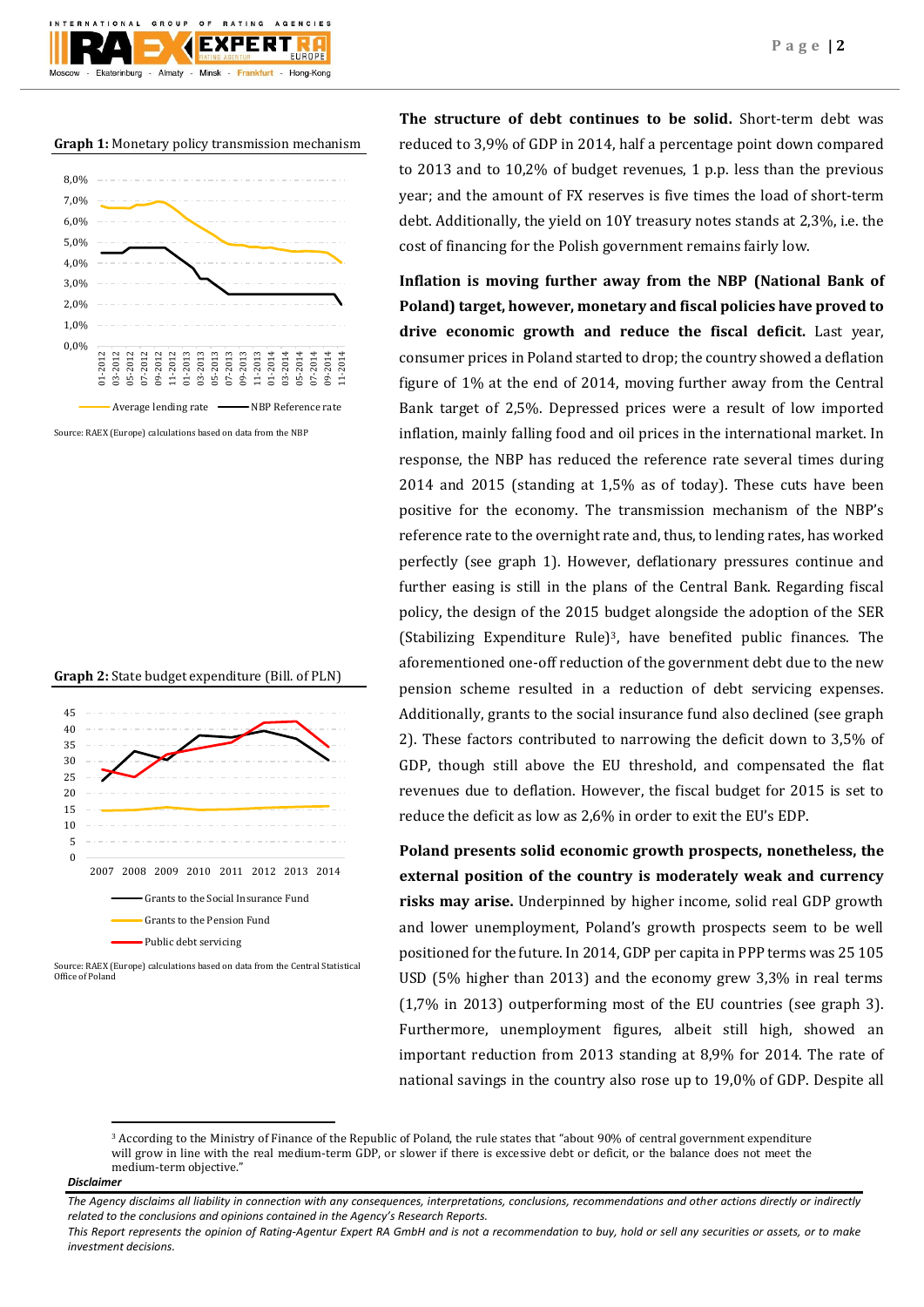**Graph 1:** Monetary policy transmission mechanism

 $O F$ 

Almaty - Minsk -

GROUP

Ekaterinburg

**BATING** 

**EXPERT** 

Frankfurt -

AGENCIES

Hong-Kong



Source: RAEX (Europe) calculations based on data from the NBP





Source: RAEX (Europe) calculations based on data from the Central Statistical Office of Poland

**The structure of debt continues to be solid.** Short-term debt was reduced to 3,9% of GDP in 2014, half a percentage point down compared to 2013 and to 10,2% of budget revenues, 1 p.p. less than the previous year; and the amount of FX reserves is five times the load of short-term debt. Additionally, the yield on 10Y treasury notes stands at 2,3%, i.e. the cost of financing for the Polish government remains fairly low.

**Inflation is moving further away from the NBP (National Bank of Poland) target, however, monetary and fiscal policies have proved to drive economic growth and reduce the fiscal deficit.** Last year, consumer prices in Poland started to drop; the country showed a deflation figure of 1% at the end of 2014, moving further away from the Central Bank target of 2,5%. Depressed prices were a result of low imported inflation, mainly falling food and oil prices in the international market. In response, the NBP has reduced the reference rate several times during 2014 and 2015 (standing at 1,5% as of today). These cuts have been positive for the economy. The transmission mechanism of the NBP's reference rate to the overnight rate and, thus, to lending rates, has worked perfectly (see graph 1). However, deflationary pressures continue and further easing is still in the plans of the Central Bank. Regarding fiscal policy, the design of the 2015 budget alongside the adoption of the SER (Stabilizing Expenditure Rule) <sup>3</sup>, have benefited public finances. The aforementioned one-off reduction of the government debt due to the new pension scheme resulted in a reduction of debt servicing expenses. Additionally, grants to the social insurance fund also declined (see graph 2). These factors contributed to narrowing the deficit down to 3,5% of GDP, though still above the EU threshold, and compensated the flat revenues due to deflation. However, the fiscal budget for 2015 is set to reduce the deficit as low as 2,6% in order to exit the EU's EDP.

**Poland presents solid economic growth prospects, nonetheless, the external position of the country is moderately weak and currency risks may arise.** Underpinned by higher income, solid real GDP growth and lower unemployment, Poland's growth prospects seem to be well positioned for the future. In 2014, GDP per capita in PPP terms was 25 105 USD (5% higher than 2013) and the economy grew 3,3% in real terms (1,7% in 2013) outperforming most of the EU countries (see graph 3). Furthermore, unemployment figures, albeit still high, showed an important reduction from 2013 standing at 8,9% for 2014. The rate of national savings in the country also rose up to 19,0% of GDP. Despite all

#### *Disclaimer*

**.** 

<sup>3</sup> According to the Ministry of Finance of the Republic of Poland, the rule states that "about 90% of central government expenditure will grow in line with the real medium-term GDP, or slower if there is excessive debt or deficit, or the balance does not meet the medium-term objective."

*The Agency disclaims all liability in connection with any consequences, interpretations, conclusions, recommendations and other actions directly or indirectly related to the conclusions and opinions contained in the Agency's Research Reports.*

*This Report represents the opinion of Rating-Agentur Expert RA GmbH and is not a recommendation to buy, hold or sell any securities or assets, or to make investment decisions.*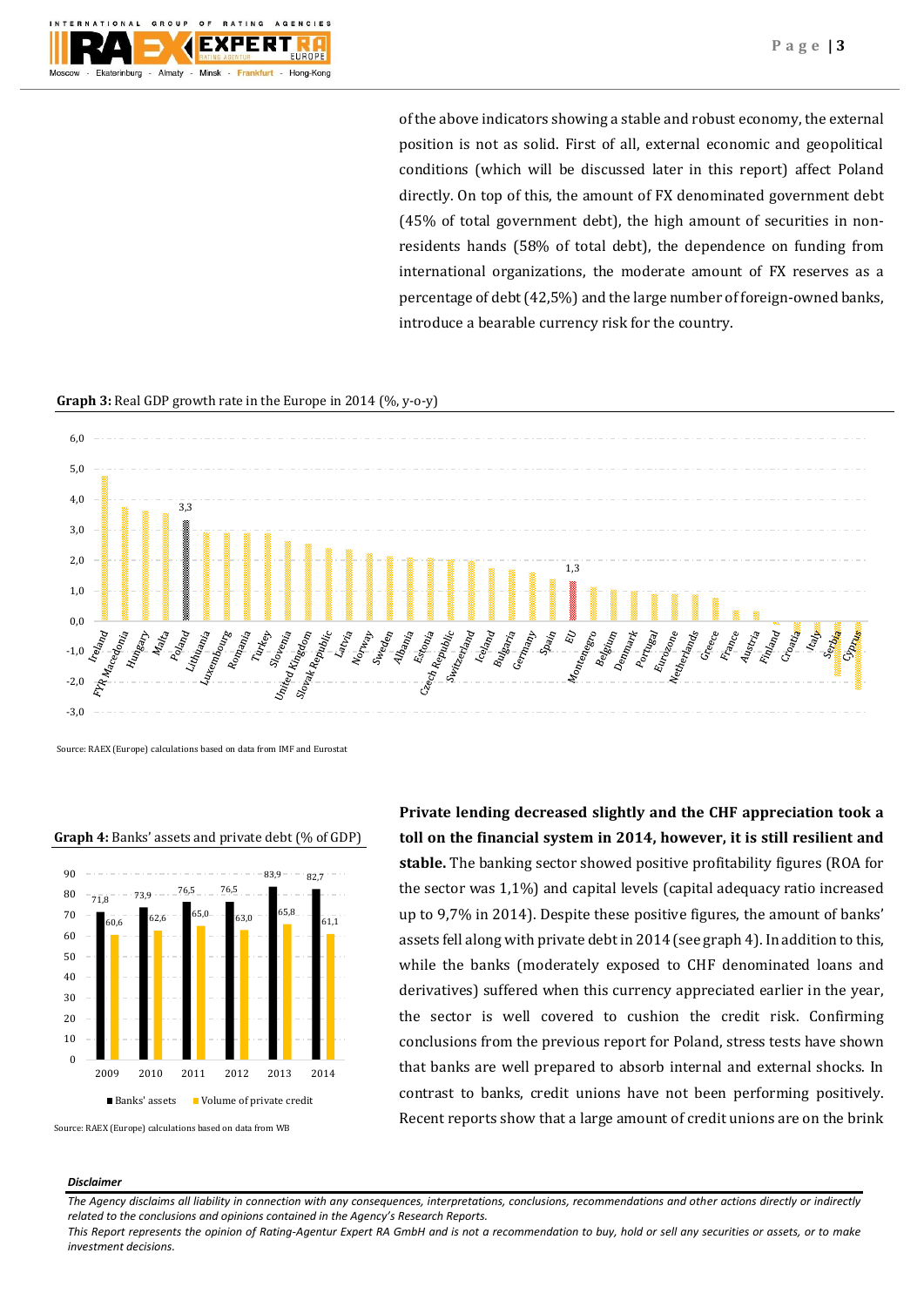

of the above indicators showing a stable and robust economy, the external position is not as solid. First of all, external economic and geopolitical conditions (which will be discussed later in this report) affect Poland directly. On top of this, the amount of FX denominated government debt (45% of total government debt), the high amount of securities in nonresidents hands (58% of total debt), the dependence on funding from international organizations, the moderate amount of FX reserves as a percentage of debt (42,5%) and the large number of foreign-owned banks, introduce a bearable currency risk for the country.

### **Graph 3:** Real GDP growth rate in the Europe in 2014 (%, y-o-y)



Source: RAEX (Europe) calculations based on data from IMF and Eurostat

#### **Graph 4:** Banks' assets and private debt (% of GDP)



Source: RAEX (Europe) calculations based on data from WB

**Private lending decreased slightly and the CHF appreciation took a toll on the financial system in 2014, however, it is still resilient and stable.** The banking sector showed positive profitability figures (ROA for the sector was 1,1%) and capital levels (capital adequacy ratio increased up to 9,7% in 2014). Despite these positive figures, the amount of banks' assets fell along with private debt in 2014 (see graph 4). In addition to this, while the banks (moderately exposed to CHF denominated loans and derivatives) suffered when this currency appreciated earlier in the year, the sector is well covered to cushion the credit risk. Confirming conclusions from the previous report for Poland, stress tests have shown that banks are well prepared to absorb internal and external shocks. In contrast to banks, credit unions have not been performing positively. Recent reports show that a large amount of credit unions are on the brink

#### *Disclaimer*

*The Agency disclaims all liability in connection with any consequences, interpretations, conclusions, recommendations and other actions directly or indirectly related to the conclusions and opinions contained in the Agency's Research Reports.*

*This Report represents the opinion of Rating-Agentur Expert RA GmbH and is not a recommendation to buy, hold or sell any securities or assets, or to make investment decisions.*